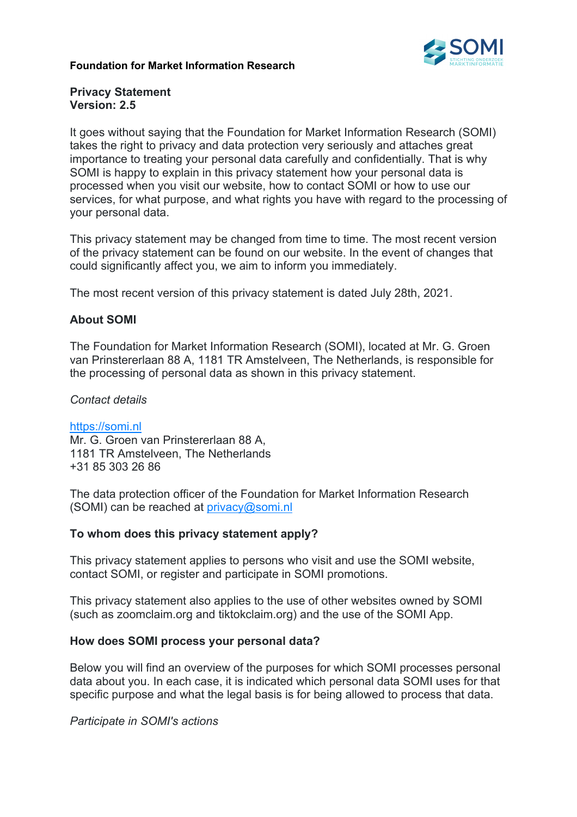### **Foundation for Market Information Research**



### **Privacy Statement Version: 2.5**

It goes without saying that the Foundation for Market Information Research (SOMI) takes the right to privacy and data protection very seriously and attaches great importance to treating your personal data carefully and confidentially. That is why SOMI is happy to explain in this privacy statement how your personal data is processed when you visit our website, how to contact SOMI or how to use our services, for what purpose, and what rights you have with regard to the processing of your personal data.

This privacy statement may be changed from time to time. The most recent version of the privacy statement can be found on our website. In the event of changes that could significantly affect you, we aim to inform you immediately.

The most recent version of this privacy statement is dated July 28th, 2021.

## **About SOMI**

The Foundation for Market Information Research (SOMI), located at Mr. G. Groen van Prinstererlaan 88 A, 1181 TR Amstelveen, The Netherlands, is responsible for the processing of personal data as shown in this privacy statement.

### *Contact details*

https://somi.nl Mr. G. Groen van Prinstererlaan 88 A, 1181 TR Amstelveen, The Netherlands +31 85 303 26 86

The data protection officer of the Foundation for Market Information Research (SOMI) can be reached at privacy@somi.nl

## **To whom does this privacy statement apply?**

This privacy statement applies to persons who visit and use the SOMI website, contact SOMI, or register and participate in SOMI promotions.

This privacy statement also applies to the use of other websites owned by SOMI (such as zoomclaim.org and tiktokclaim.org) and the use of the SOMI App.

## **How does SOMI process your personal data?**

Below you will find an overview of the purposes for which SOMI processes personal data about you. In each case, it is indicated which personal data SOMI uses for that specific purpose and what the legal basis is for being allowed to process that data.

*Participate in SOMI's actions*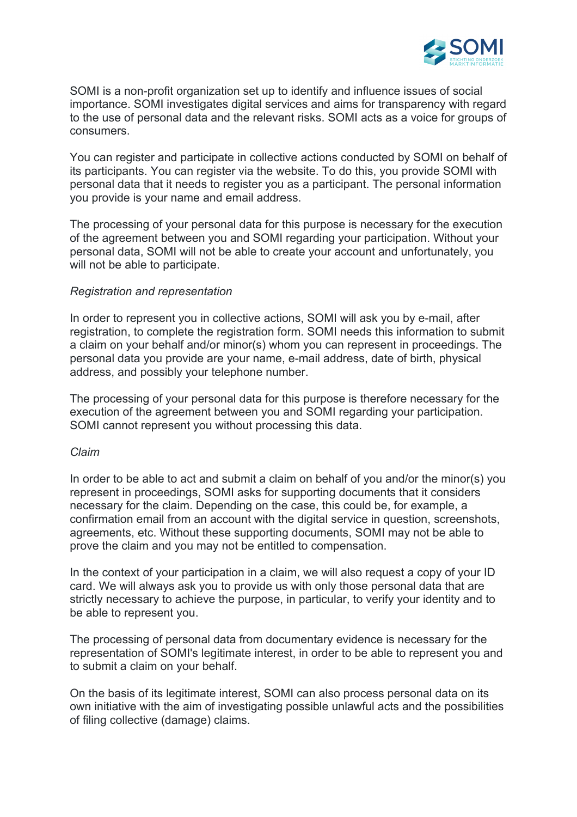

SOMI is a non-profit organization set up to identify and influence issues of social importance. SOMI investigates digital services and aims for transparency with regard to the use of personal data and the relevant risks. SOMI acts as a voice for groups of consumers.

You can register and participate in collective actions conducted by SOMI on behalf of its participants. You can register via the website. To do this, you provide SOMI with personal data that it needs to register you as a participant. The personal information you provide is your name and email address.

The processing of your personal data for this purpose is necessary for the execution of the agreement between you and SOMI regarding your participation. Without your personal data, SOMI will not be able to create your account and unfortunately, you will not be able to participate.

## *Registration and representation*

In order to represent you in collective actions, SOMI will ask you by e-mail, after registration, to complete the registration form. SOMI needs this information to submit a claim on your behalf and/or minor(s) whom you can represent in proceedings. The personal data you provide are your name, e-mail address, date of birth, physical address, and possibly your telephone number.

The processing of your personal data for this purpose is therefore necessary for the execution of the agreement between you and SOMI regarding your participation. SOMI cannot represent you without processing this data.

#### *Claim*

In order to be able to act and submit a claim on behalf of you and/or the minor(s) you represent in proceedings, SOMI asks for supporting documents that it considers necessary for the claim. Depending on the case, this could be, for example, a confirmation email from an account with the digital service in question, screenshots, agreements, etc. Without these supporting documents, SOMI may not be able to prove the claim and you may not be entitled to compensation.

In the context of your participation in a claim, we will also request a copy of your ID card. We will always ask you to provide us with only those personal data that are strictly necessary to achieve the purpose, in particular, to verify your identity and to be able to represent you.

The processing of personal data from documentary evidence is necessary for the representation of SOMI's legitimate interest, in order to be able to represent you and to submit a claim on your behalf.

On the basis of its legitimate interest, SOMI can also process personal data on its own initiative with the aim of investigating possible unlawful acts and the possibilities of filing collective (damage) claims.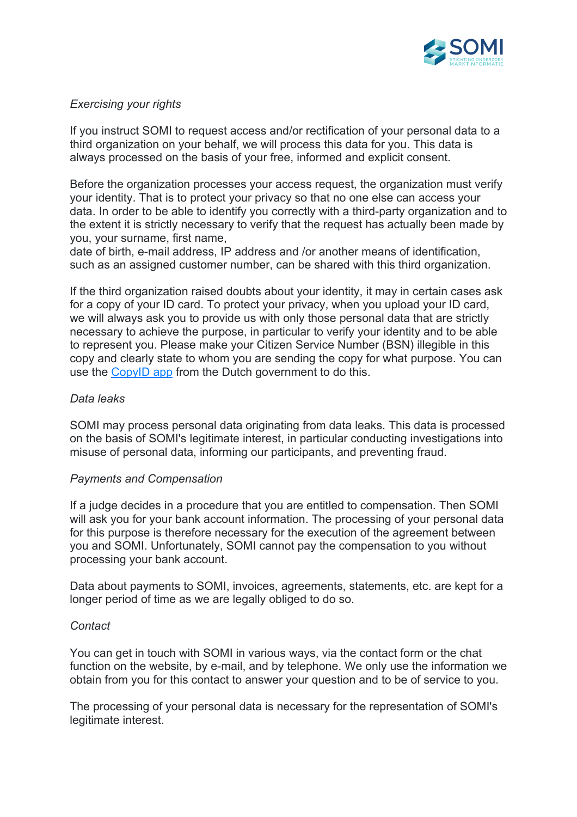

# *Exercising your rights*

If you instruct SOMI to request access and/or rectification of your personal data to a third organization on your behalf, we will process this data for you. This data is always processed on the basis of your free, informed and explicit consent.

Before the organization processes your access request, the organization must verify your identity. That is to protect your privacy so that no one else can access your data. In order to be able to identify you correctly with a third-party organization and to the extent it is strictly necessary to verify that the request has actually been made by you, your surname, first name,

date of birth, e-mail address, IP address and /or another means of identification, such as an assigned customer number, can be shared with this third organization.

If the third organization raised doubts about your identity, it may in certain cases ask for a copy of your ID card. To protect your privacy, when you upload your ID card, we will always ask you to provide us with only those personal data that are strictly necessary to achieve the purpose, in particular to verify your identity and to be able to represent you. Please make your Citizen Service Number (BSN) illegible in this copy and clearly state to whom you are sending the copy for what purpose. You can use the CopyID app from the Dutch government to do this.

## *Data leaks*

SOMI may process personal data originating from data leaks. This data is processed on the basis of SOMI's legitimate interest, in particular conducting investigations into misuse of personal data, informing our participants, and preventing fraud.

## *Payments and Compensation*

If a judge decides in a procedure that you are entitled to compensation. Then SOMI will ask you for your bank account information. The processing of your personal data for this purpose is therefore necessary for the execution of the agreement between you and SOMI. Unfortunately, SOMI cannot pay the compensation to you without processing your bank account.

Data about payments to SOMI, invoices, agreements, statements, etc. are kept for a longer period of time as we are legally obliged to do so.

## *Contact*

You can get in touch with SOMI in various ways, via the contact form or the chat function on the website, by e-mail, and by telephone. We only use the information we obtain from you for this contact to answer your question and to be of service to you.

The processing of your personal data is necessary for the representation of SOMI's legitimate interest.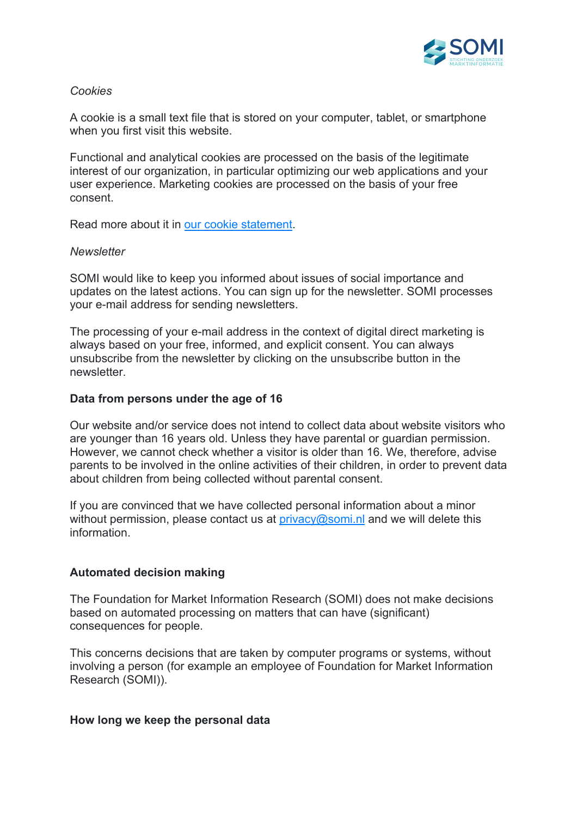

# *Cookies*

A cookie is a small text file that is stored on your computer, tablet, or smartphone when you first visit this website.

Functional and analytical cookies are processed on the basis of the legitimate interest of our organization, in particular optimizing our web applications and your user experience. Marketing cookies are processed on the basis of your free consent.

Read more about it in our cookie statement.

### *Newsletter*

SOMI would like to keep you informed about issues of social importance and updates on the latest actions. You can sign up for the newsletter. SOMI processes your e-mail address for sending newsletters.

The processing of your e-mail address in the context of digital direct marketing is always based on your free, informed, and explicit consent. You can always unsubscribe from the newsletter by clicking on the unsubscribe button in the newsletter.

### **Data from persons under the age of 16**

Our website and/or service does not intend to collect data about website visitors who are younger than 16 years old. Unless they have parental or guardian permission. However, we cannot check whether a visitor is older than 16. We, therefore, advise parents to be involved in the online activities of their children, in order to prevent data about children from being collected without parental consent.

If you are convinced that we have collected personal information about a minor without permission, please contact us at  $\frac{\text{prior}}{\text{prior}}$  or  $\frac{\text{prior}}{\text{prior}}$  and we will delete this information.

## **Automated decision making**

The Foundation for Market Information Research (SOMI) does not make decisions based on automated processing on matters that can have (significant) consequences for people.

This concerns decisions that are taken by computer programs or systems, without involving a person (for example an employee of Foundation for Market Information Research (SOMI)).

#### **How long we keep the personal data**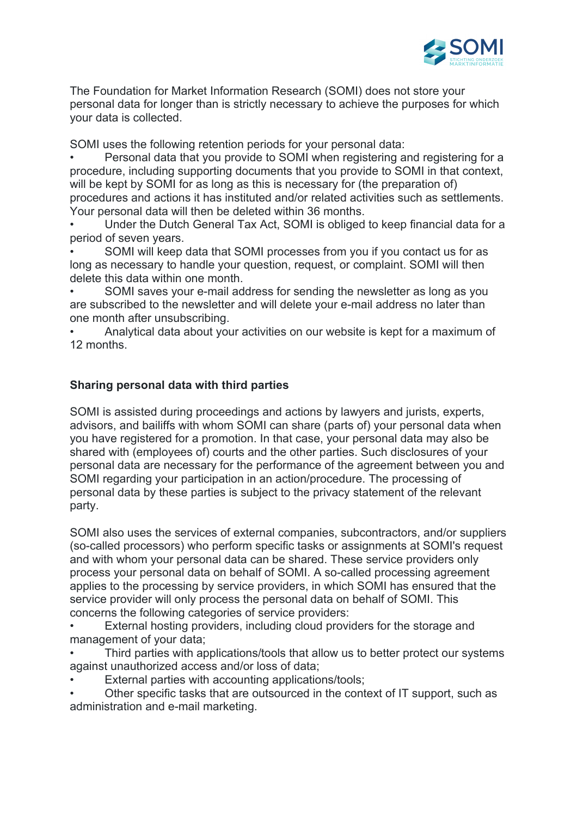

The Foundation for Market Information Research (SOMI) does not store your personal data for longer than is strictly necessary to achieve the purposes for which your data is collected.

SOMI uses the following retention periods for your personal data:

• Personal data that you provide to SOMI when registering and registering for a procedure, including supporting documents that you provide to SOMI in that context, will be kept by SOMI for as long as this is necessary for (the preparation of) procedures and actions it has instituted and/or related activities such as settlements. Your personal data will then be deleted within 36 months.

• Under the Dutch General Tax Act, SOMI is obliged to keep financial data for a period of seven years.

• SOMI will keep data that SOMI processes from you if you contact us for as long as necessary to handle your question, request, or complaint. SOMI will then delete this data within one month.

• SOMI saves your e-mail address for sending the newsletter as long as you are subscribed to the newsletter and will delete your e-mail address no later than one month after unsubscribing.

• Analytical data about your activities on our website is kept for a maximum of 12 months.

## **Sharing personal data with third parties**

SOMI is assisted during proceedings and actions by lawyers and jurists, experts, advisors, and bailiffs with whom SOMI can share (parts of) your personal data when you have registered for a promotion. In that case, your personal data may also be shared with (employees of) courts and the other parties. Such disclosures of your personal data are necessary for the performance of the agreement between you and SOMI regarding your participation in an action/procedure. The processing of personal data by these parties is subject to the privacy statement of the relevant party.

SOMI also uses the services of external companies, subcontractors, and/or suppliers (so-called processors) who perform specific tasks or assignments at SOMI's request and with whom your personal data can be shared. These service providers only process your personal data on behalf of SOMI. A so-called processing agreement applies to the processing by service providers, in which SOMI has ensured that the service provider will only process the personal data on behalf of SOMI. This concerns the following categories of service providers:

- External hosting providers, including cloud providers for the storage and management of your data;
- Third parties with applications/tools that allow us to better protect our systems against unauthorized access and/or loss of data;
- External parties with accounting applications/tools;
- Other specific tasks that are outsourced in the context of IT support, such as administration and e-mail marketing.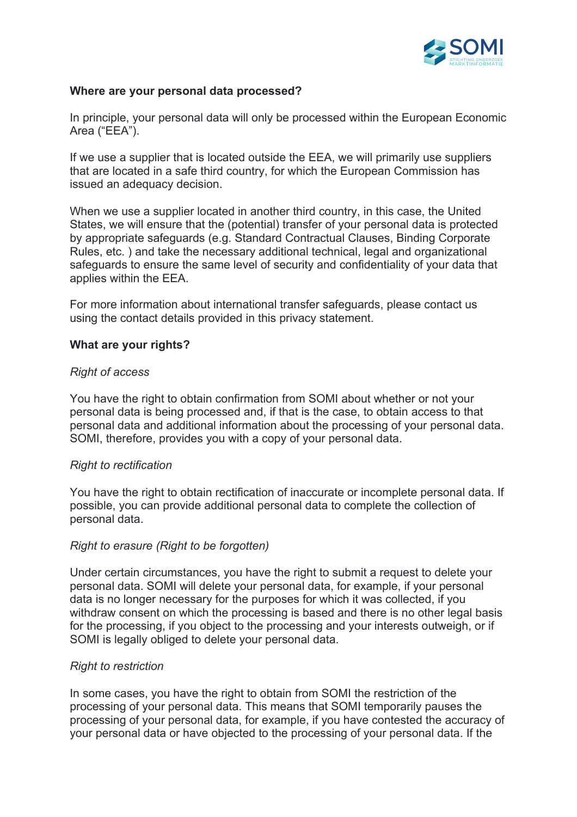

### **Where are your personal data processed?**

In principle, your personal data will only be processed within the European Economic Area ("EEA").

If we use a supplier that is located outside the EEA, we will primarily use suppliers that are located in a safe third country, for which the European Commission has issued an adequacy decision.

When we use a supplier located in another third country, in this case, the United States, we will ensure that the (potential) transfer of your personal data is protected by appropriate safeguards (e.g. Standard Contractual Clauses, Binding Corporate Rules, etc. ) and take the necessary additional technical, legal and organizational safeguards to ensure the same level of security and confidentiality of your data that applies within the EEA.

For more information about international transfer safeguards, please contact us using the contact details provided in this privacy statement.

### **What are your rights?**

### *Right of access*

You have the right to obtain confirmation from SOMI about whether or not your personal data is being processed and, if that is the case, to obtain access to that personal data and additional information about the processing of your personal data. SOMI, therefore, provides you with a copy of your personal data.

#### *Right to rectification*

You have the right to obtain rectification of inaccurate or incomplete personal data. If possible, you can provide additional personal data to complete the collection of personal data.

#### *Right to erasure (Right to be forgotten)*

Under certain circumstances, you have the right to submit a request to delete your personal data. SOMI will delete your personal data, for example, if your personal data is no longer necessary for the purposes for which it was collected, if you withdraw consent on which the processing is based and there is no other legal basis for the processing, if you object to the processing and your interests outweigh, or if SOMI is legally obliged to delete your personal data.

## *Right to restriction*

In some cases, you have the right to obtain from SOMI the restriction of the processing of your personal data. This means that SOMI temporarily pauses the processing of your personal data, for example, if you have contested the accuracy of your personal data or have objected to the processing of your personal data. If the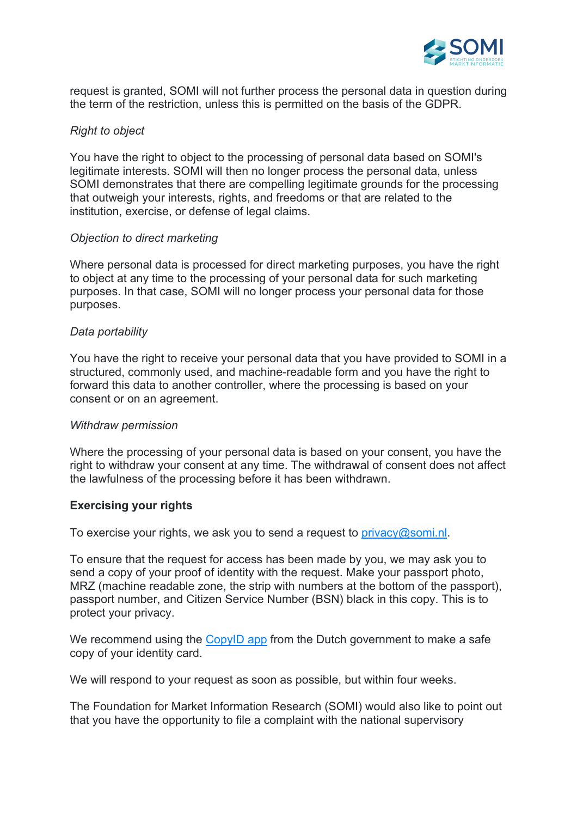

request is granted, SOMI will not further process the personal data in question during the term of the restriction, unless this is permitted on the basis of the GDPR.

# *Right to object*

You have the right to object to the processing of personal data based on SOMI's legitimate interests. SOMI will then no longer process the personal data, unless SOMI demonstrates that there are compelling legitimate grounds for the processing that outweigh your interests, rights, and freedoms or that are related to the institution, exercise, or defense of legal claims.

## *Objection to direct marketing*

Where personal data is processed for direct marketing purposes, you have the right to object at any time to the processing of your personal data for such marketing purposes. In that case, SOMI will no longer process your personal data for those purposes.

### *Data portability*

You have the right to receive your personal data that you have provided to SOMI in a structured, commonly used, and machine-readable form and you have the right to forward this data to another controller, where the processing is based on your consent or on an agreement.

#### *Withdraw permission*

Where the processing of your personal data is based on your consent, you have the right to withdraw your consent at any time. The withdrawal of consent does not affect the lawfulness of the processing before it has been withdrawn.

## **Exercising your rights**

To exercise your rights, we ask you to send a request to  $\frac{\text{prior}}{\text{prior}}$  oscomi.nl.

To ensure that the request for access has been made by you, we may ask you to send a copy of your proof of identity with the request. Make your passport photo, MRZ (machine readable zone, the strip with numbers at the bottom of the passport), passport number, and Citizen Service Number (BSN) black in this copy. This is to protect your privacy.

We recommend using the CopyID app from the Dutch government to make a safe copy of your identity card.

We will respond to your request as soon as possible, but within four weeks.

The Foundation for Market Information Research (SOMI) would also like to point out that you have the opportunity to file a complaint with the national supervisory